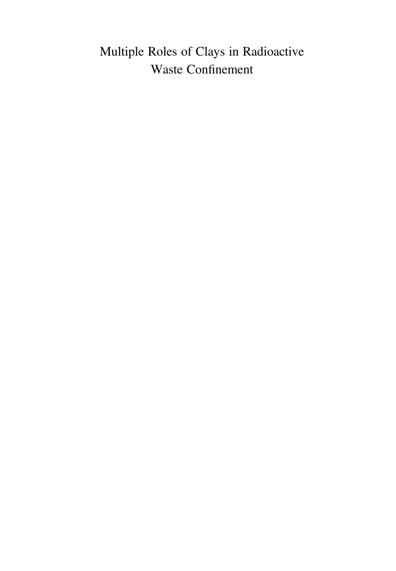# Multiple Roles of Clays in Radioactive Waste Confinement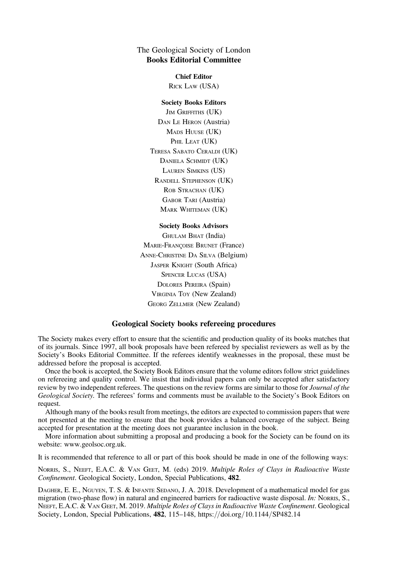# The Geological Society of London Books Editorial Committee

Chief Editor RICK LAW (USA)

### Society Books Editors

JIM GRIFFITHS (UK) DAN LE HERON (Austria) MADS HUUSE (UK) PHIL LEAT (UK) TERESA SABATO CERALDI (UK) DANIELA SCHMIDT (UK) LAUREN SIMKINS (US) RANDELL STEPHENSON (UK) ROB STRACHAN (UK) GABOR TARI (Austria) MARK WHITEMAN (UK)

#### Society Books Advisors

GHULAM BHAT (India) MARIE-FRANÇOISE BRUNET (France) ANNE-CHRISTINE DA SILVA (Belgium) JASPER KNIGHT (South Africa) SPENCER LUCAS (USA) DOLORES PEREIRA (Spain) VIRGINIA TOY (New Zealand) GEORG ZELLMER (New Zealand)

## Geological Society books refereeing procedures

The Society makes every effort to ensure that the scientific and production quality of its books matches that of its journals. Since 1997, all book proposals have been refereed by specialist reviewers as well as by the Society's Books Editorial Committee. If the referees identify weaknesses in the proposal, these must be addressed before the proposal is accepted.

Once the book is accepted, the Society Book Editors ensure that the volume editors follow strict guidelines on refereeing and quality control. We insist that individual papers can only be accepted after satisfactory review by two independent referees. The questions on the review forms are similar to those for *Journal of the* Geological Society. The referees' forms and comments must be available to the Society's Book Editors on request.

Although many of the books result from meetings, the editors are expected to commission papers that were not presented at the meeting to ensure that the book provides a balanced coverage of the subject. Being accepted for presentation at the meeting does not guarantee inclusion in the book.

More information about submitting a proposal and producing a book for the Society can be found on its website: www.geolsoc.org.uk.

It is recommended that reference to all or part of this book should be made in one of the following ways:

NORRIS, S., NEEFT, E.A.C. & VAN GEET, M. (eds) 2019. Multiple Roles of Clays in Radioactive Waste Confinement. Geological Society, London, Special Publications, 482.

DAGHER, E. E., NGUYEN, T. S. & INFANTE SEDANO, J. A. 2018. Development of a mathematical model for gas migration (two-phase flow) in natural and engineered barriers for radioactive waste disposal. In: NORRIS, S., NEEFT, E.A.C. & VAN GEET, M. 2019. Multiple Roles of Clays in Radioactive Waste Confinement. Geological Society, London, Special Publications, 482, 115–148, https://doi.org/10.1144/SP482.14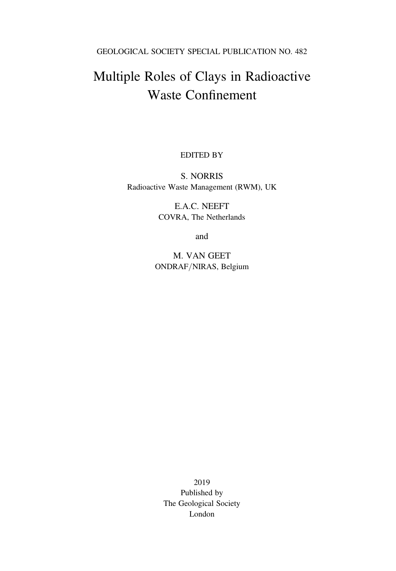GEOLOGICAL SOCIETY SPECIAL PUBLICATION NO. 482

# Multiple Roles of Clays in Radioactive Waste Confinement

EDITED BY

S. NORRIS Radioactive Waste Management (RWM), UK

> E.A.C. NEEFT COVRA, The Netherlands

> > and

M. VAN GEET ONDRAF/NIRAS, Belgium

2019 Published by The Geological Society London